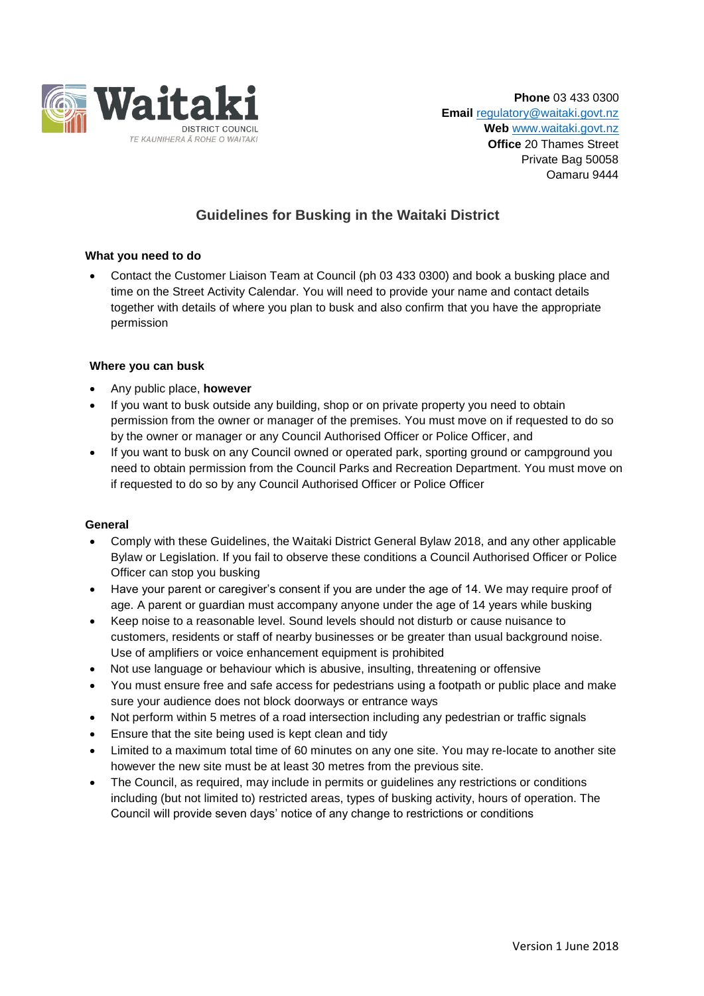

## **Guidelines for Busking in the Waitaki District**

## **What you need to do**

 Contact the Customer Liaison Team at Council (ph 03 433 0300) and book a busking place and time on the Street Activity Calendar. You will need to provide your name and contact details together with details of where you plan to busk and also confirm that you have the appropriate permission

## **Where you can busk**

- Any public place, **however**
- If you want to busk outside any building, shop or on private property you need to obtain permission from the owner or manager of the premises. You must move on if requested to do so by the owner or manager or any Council Authorised Officer or Police Officer, and
- If you want to busk on any Council owned or operated park, sporting ground or campground you need to obtain permission from the Council Parks and Recreation Department. You must move on if requested to do so by any Council Authorised Officer or Police Officer

## **General**

- Comply with these Guidelines, the Waitaki District General Bylaw 2018, and any other applicable Bylaw or Legislation. If you fail to observe these conditions a Council Authorised Officer or Police Officer can stop you busking
- Have your parent or caregiver's consent if you are under the age of 14. We may require proof of age. A parent or guardian must accompany anyone under the age of 14 years while busking
- Keep noise to a reasonable level. Sound levels should not disturb or cause nuisance to customers, residents or staff of nearby businesses or be greater than usual background noise. Use of amplifiers or voice enhancement equipment is prohibited
- Not use language or behaviour which is abusive, insulting, threatening or offensive
- You must ensure free and safe access for pedestrians using a footpath or public place and make sure your audience does not block doorways or entrance ways
- Not perform within 5 metres of a road intersection including any pedestrian or traffic signals
- Ensure that the site being used is kept clean and tidy
- Limited to a maximum total time of 60 minutes on any one site. You may re-locate to another site however the new site must be at least 30 metres from the previous site.
- The Council, as required, may include in permits or guidelines any restrictions or conditions including (but not limited to) restricted areas, types of busking activity, hours of operation. The Council will provide seven days' notice of any change to restrictions or conditions